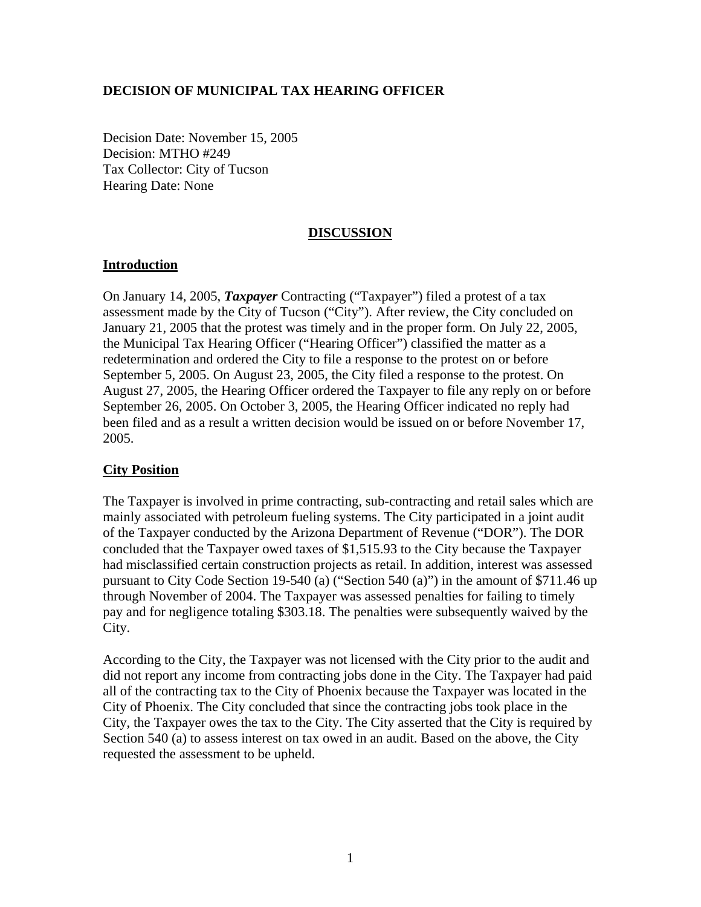## **DECISION OF MUNICIPAL TAX HEARING OFFICER**

Decision Date: November 15, 2005 Decision: MTHO #249 Tax Collector: City of Tucson Hearing Date: None

# **DISCUSSION**

### **Introduction**

On January 14, 2005, *Taxpayer* Contracting ("Taxpayer") filed a protest of a tax assessment made by the City of Tucson ("City"). After review, the City concluded on January 21, 2005 that the protest was timely and in the proper form. On July 22, 2005, the Municipal Tax Hearing Officer ("Hearing Officer") classified the matter as a redetermination and ordered the City to file a response to the protest on or before September 5, 2005. On August 23, 2005, the City filed a response to the protest. On August 27, 2005, the Hearing Officer ordered the Taxpayer to file any reply on or before September 26, 2005. On October 3, 2005, the Hearing Officer indicated no reply had been filed and as a result a written decision would be issued on or before November 17, 2005.

# **City Position**

The Taxpayer is involved in prime contracting, sub-contracting and retail sales which are mainly associated with petroleum fueling systems. The City participated in a joint audit of the Taxpayer conducted by the Arizona Department of Revenue ("DOR"). The DOR concluded that the Taxpayer owed taxes of \$1,515.93 to the City because the Taxpayer had misclassified certain construction projects as retail. In addition, interest was assessed pursuant to City Code Section 19-540 (a) ("Section 540 (a)") in the amount of \$711.46 up through November of 2004. The Taxpayer was assessed penalties for failing to timely pay and for negligence totaling \$303.18. The penalties were subsequently waived by the City.

According to the City, the Taxpayer was not licensed with the City prior to the audit and did not report any income from contracting jobs done in the City. The Taxpayer had paid all of the contracting tax to the City of Phoenix because the Taxpayer was located in the City of Phoenix. The City concluded that since the contracting jobs took place in the City, the Taxpayer owes the tax to the City. The City asserted that the City is required by Section 540 (a) to assess interest on tax owed in an audit. Based on the above, the City requested the assessment to be upheld.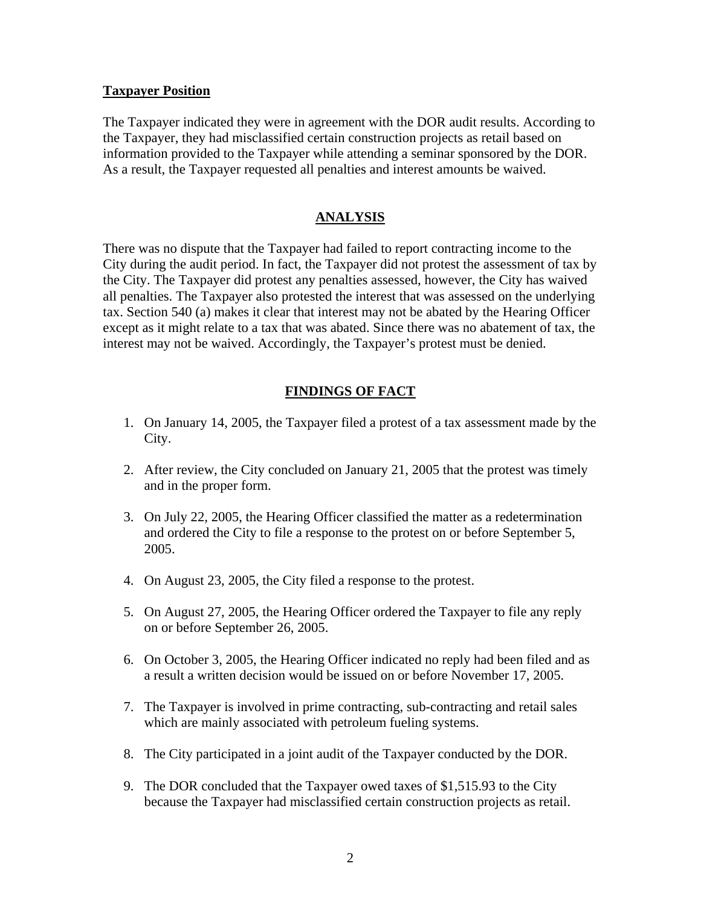#### **Taxpayer Position**

The Taxpayer indicated they were in agreement with the DOR audit results. According to the Taxpayer, they had misclassified certain construction projects as retail based on information provided to the Taxpayer while attending a seminar sponsored by the DOR. As a result, the Taxpayer requested all penalties and interest amounts be waived.

### **ANALYSIS**

There was no dispute that the Taxpayer had failed to report contracting income to the City during the audit period. In fact, the Taxpayer did not protest the assessment of tax by the City. The Taxpayer did protest any penalties assessed, however, the City has waived all penalties. The Taxpayer also protested the interest that was assessed on the underlying tax. Section 540 (a) makes it clear that interest may not be abated by the Hearing Officer except as it might relate to a tax that was abated. Since there was no abatement of tax, the interest may not be waived. Accordingly, the Taxpayer's protest must be denied.

# **FINDINGS OF FACT**

- 1. On January 14, 2005, the Taxpayer filed a protest of a tax assessment made by the City.
- 2. After review, the City concluded on January 21, 2005 that the protest was timely and in the proper form.
- 3. On July 22, 2005, the Hearing Officer classified the matter as a redetermination and ordered the City to file a response to the protest on or before September 5, 2005.
- 4. On August 23, 2005, the City filed a response to the protest.
- 5. On August 27, 2005, the Hearing Officer ordered the Taxpayer to file any reply on or before September 26, 2005.
- 6. On October 3, 2005, the Hearing Officer indicated no reply had been filed and as a result a written decision would be issued on or before November 17, 2005.
- 7. The Taxpayer is involved in prime contracting, sub-contracting and retail sales which are mainly associated with petroleum fueling systems.
- 8. The City participated in a joint audit of the Taxpayer conducted by the DOR.
- 9. The DOR concluded that the Taxpayer owed taxes of \$1,515.93 to the City because the Taxpayer had misclassified certain construction projects as retail.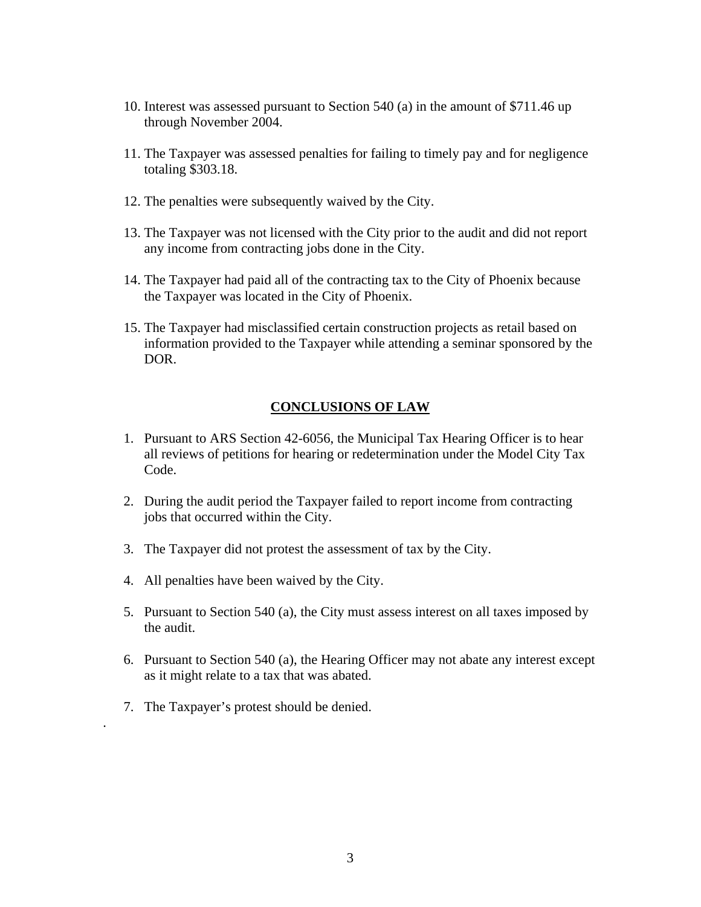- 10. Interest was assessed pursuant to Section 540 (a) in the amount of \$711.46 up through November 2004.
- 11. The Taxpayer was assessed penalties for failing to timely pay and for negligence totaling \$303.18.
- 12. The penalties were subsequently waived by the City.
- 13. The Taxpayer was not licensed with the City prior to the audit and did not report any income from contracting jobs done in the City.
- 14. The Taxpayer had paid all of the contracting tax to the City of Phoenix because the Taxpayer was located in the City of Phoenix.
- 15. The Taxpayer had misclassified certain construction projects as retail based on information provided to the Taxpayer while attending a seminar sponsored by the DOR.

#### **CONCLUSIONS OF LAW**

- 1. Pursuant to ARS Section 42-6056, the Municipal Tax Hearing Officer is to hear all reviews of petitions for hearing or redetermination under the Model City Tax Code.
- 2. During the audit period the Taxpayer failed to report income from contracting jobs that occurred within the City.
- 3. The Taxpayer did not protest the assessment of tax by the City.
- 4. All penalties have been waived by the City.
- 5. Pursuant to Section 540 (a), the City must assess interest on all taxes imposed by the audit.
- 6. Pursuant to Section 540 (a), the Hearing Officer may not abate any interest except as it might relate to a tax that was abated.
- 7. The Taxpayer's protest should be denied.

.